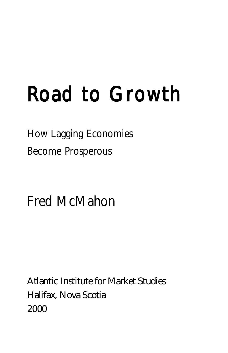## Road to Growth

How Lagging Economies Become Prosperous

Fred McMahon

Atlantic Institute for Market Studies Halifax, Nova Scotia 2000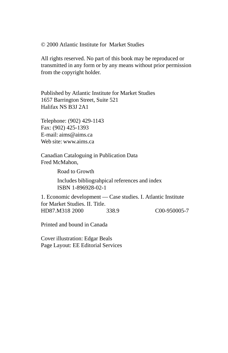© 2000 Atlantic Institute for Market Studies

All rights reserved. No part of this book may be reproduced or transmitted in any form or by any means without prior permission from the copyright holder.

Published by Atlantic Institute for Market Studies 1657 Barrington Street, Suite 521 Halifax NS B3J 2A1

Telephone: (902) 429-1143 Fax: (902) 425-1393 E-mail: aims@aims.ca Web site: www.aims.ca

Canadian Cataloguing in Publication Data Fred McMahon,

Road to Growth

Includes bibliograhpical references and index ISBN 1-896928-02-1

1. Economic development — Case studies. I. Atlantic Institute for Market Studies. II. Title. HD87.M318 2000 338.9 C00-950005-7

Printed and bound in Canada

Cover illustration: Edgar Beals Page Layout: EE Editorial Services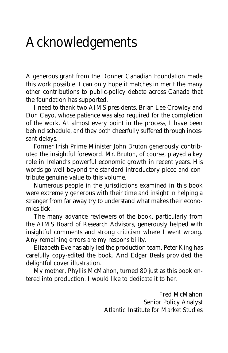## Acknowledgements

A generous grant from the Donner Canadian Foundation made this work possible. I can only hope it matches in merit the many other contributions to public-policy debate across Canada that the foundation has supported.

I need to thank two AIMS presidents, Brian Lee Crowley and Don Cayo, whose patience was also required for the completion of the work. At almost every point in the process, I have been behind schedule, and they both cheerfully suffered through incessant delays.

Former Irish Prime Minister John Bruton generously contributed the insightful foreword. Mr. Bruton, of course, played a key role in Ireland's powerful economic growth in recent years. His words go well beyond the standard introductory piece and contribute genuine value to this volume.

Numerous people in the jurisdictions examined in this book were extremely generous with their time and insight in helping a stranger from far away try to understand what makes their economies tick.

The many advance reviewers of the book, particularly from the AIMS Board of Research Advisors, generously helped with insightful comments and strong criticism where I went wrong. Any remaining errors are my responsibility.

Elizabeth Eve has ably led the production team. Peter King has carefully copy-edited the book. And Edgar Beals provided the delightful cover illustration.

My mother, Phyllis McMahon, turned 80 just as this book entered into production. I would like to dedicate it to her.

> Fred McMahon Senior Policy Analyst Atlantic Institute for Market Studies